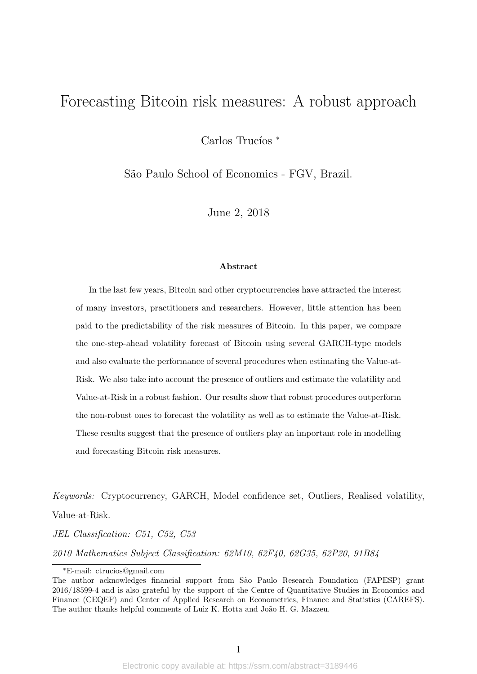# Forecasting Bitcoin risk measures: A robust approach

Carlos Trucíos \*

S˜ao Paulo School of Economics - FGV, Brazil.

June 2, 2018

#### Abstract

In the last few years, Bitcoin and other cryptocurrencies have attracted the interest of many investors, practitioners and researchers. However, little attention has been paid to the predictability of the risk measures of Bitcoin. In this paper, we compare the one-step-ahead volatility forecast of Bitcoin using several GARCH-type models and also evaluate the performance of several procedures when estimating the Value-at-Risk. We also take into account the presence of outliers and estimate the volatility and Value-at-Risk in a robust fashion. Our results show that robust procedures outperform the non-robust ones to forecast the volatility as well as to estimate the Value-at-Risk. These results suggest that the presence of outliers play an important role in modelling and forecasting Bitcoin risk measures.

Keywords: Cryptocurrency, GARCH, Model confidence set, Outliers, Realised volatility, Value-at-Risk.

JEL Classification: C51, C52, C53

2010 Mathematics Subject Classification: 62M10, 62F40, 62G35, 62P20, 91B84

<sup>∗</sup>E-mail: ctrucios@gmail.com

The author acknowledges financial support from São Paulo Research Foundation (FAPESP) grant 2016/18599-4 and is also grateful by the support of the Centre of Quantitative Studies in Economics and Finance (CEQEF) and Center of Applied Research on Econometrics, Finance and Statistics (CAREFS). The author thanks helpful comments of Luiz K. Hotta and João H. G. Mazzeu.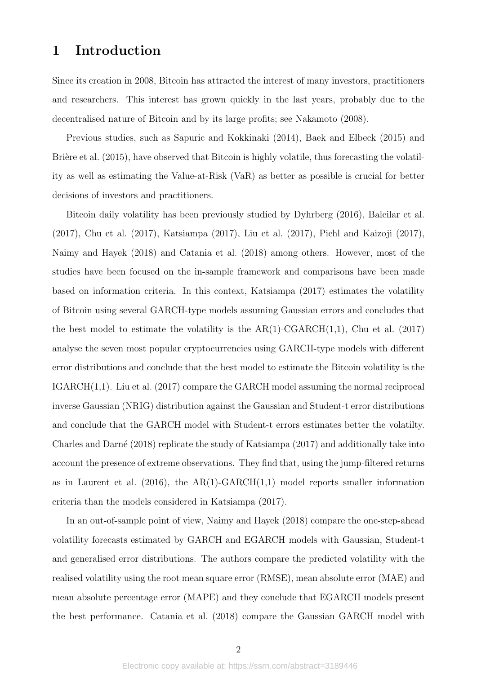### 1 Introduction

Since its creation in 2008, Bitcoin has attracted the interest of many investors, practitioners and researchers. This interest has grown quickly in the last years, probably due to the decentralised nature of Bitcoin and by its large profits; see Nakamoto (2008).

Previous studies, such as Sapuric and Kokkinaki (2014), Baek and Elbeck (2015) and Bridere et al.  $(2015)$ , have observed that Bitcoin is highly volatile, thus forecasting the volatility as well as estimating the Value-at-Risk (VaR) as better as possible is crucial for better decisions of investors and practitioners.

Bitcoin daily volatility has been previously studied by Dyhrberg (2016), Balcilar et al. (2017), Chu et al. (2017), Katsiampa (2017), Liu et al. (2017), Pichl and Kaizoji (2017), Naimy and Hayek (2018) and Catania et al. (2018) among others. However, most of the studies have been focused on the in-sample framework and comparisons have been made based on information criteria. In this context, Katsiampa (2017) estimates the volatility of Bitcoin using several GARCH-type models assuming Gaussian errors and concludes that the best model to estimate the volatility is the  $AR(1)$ -CGARCH $(1,1)$ , Chu et al. (2017) analyse the seven most popular cryptocurrencies using GARCH-type models with different error distributions and conclude that the best model to estimate the Bitcoin volatility is the IGARCH(1,1). Liu et al. (2017) compare the GARCH model assuming the normal reciprocal inverse Gaussian (NRIG) distribution against the Gaussian and Student-t error distributions and conclude that the GARCH model with Student-t errors estimates better the volatilty. Charles and Darné (2018) replicate the study of Katsiampa (2017) and additionally take into account the presence of extreme observations. They find that, using the jump-filtered returns as in Laurent et al.  $(2016)$ , the AR(1)-GARCH $(1,1)$  model reports smaller information criteria than the models considered in Katsiampa (2017).

In an out-of-sample point of view, Naimy and Hayek (2018) compare the one-step-ahead volatility forecasts estimated by GARCH and EGARCH models with Gaussian, Student-t and generalised error distributions. The authors compare the predicted volatility with the realised volatility using the root mean square error (RMSE), mean absolute error (MAE) and mean absolute percentage error (MAPE) and they conclude that EGARCH models present the best performance. Catania et al. (2018) compare the Gaussian GARCH model with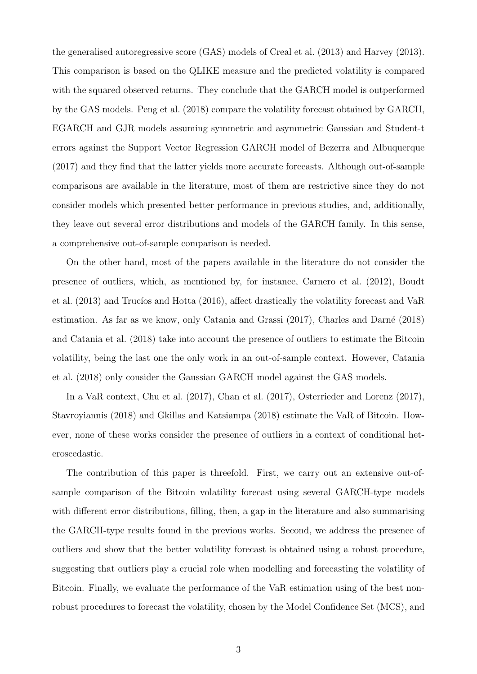the generalised autoregressive score (GAS) models of Creal et al. (2013) and Harvey (2013). This comparison is based on the QLIKE measure and the predicted volatility is compared with the squared observed returns. They conclude that the GARCH model is outperformed by the GAS models. Peng et al. (2018) compare the volatility forecast obtained by GARCH, EGARCH and GJR models assuming symmetric and asymmetric Gaussian and Student-t errors against the Support Vector Regression GARCH model of Bezerra and Albuquerque (2017) and they find that the latter yields more accurate forecasts. Although out-of-sample comparisons are available in the literature, most of them are restrictive since they do not consider models which presented better performance in previous studies, and, additionally, they leave out several error distributions and models of the GARCH family. In this sense, a comprehensive out-of-sample comparison is needed.

On the other hand, most of the papers available in the literature do not consider the presence of outliers, which, as mentioned by, for instance, Carnero et al. (2012), Boudt et al.  $(2013)$  and Trucíos and Hotta  $(2016)$ , affect drastically the volatility forecast and VaR estimation. As far as we know, only Catania and Grassi  $(2017)$ , Charles and Darné  $(2018)$ and Catania et al. (2018) take into account the presence of outliers to estimate the Bitcoin volatility, being the last one the only work in an out-of-sample context. However, Catania et al. (2018) only consider the Gaussian GARCH model against the GAS models.

In a VaR context, Chu et al. (2017), Chan et al. (2017), Osterrieder and Lorenz (2017), Stavroyiannis (2018) and Gkillas and Katsiampa (2018) estimate the VaR of Bitcoin. However, none of these works consider the presence of outliers in a context of conditional heteroscedastic.

The contribution of this paper is threefold. First, we carry out an extensive out-ofsample comparison of the Bitcoin volatility forecast using several GARCH-type models with different error distributions, filling, then, a gap in the literature and also summarising the GARCH-type results found in the previous works. Second, we address the presence of outliers and show that the better volatility forecast is obtained using a robust procedure, suggesting that outliers play a crucial role when modelling and forecasting the volatility of Bitcoin. Finally, we evaluate the performance of the VaR estimation using of the best nonrobust procedures to forecast the volatility, chosen by the Model Confidence Set (MCS), and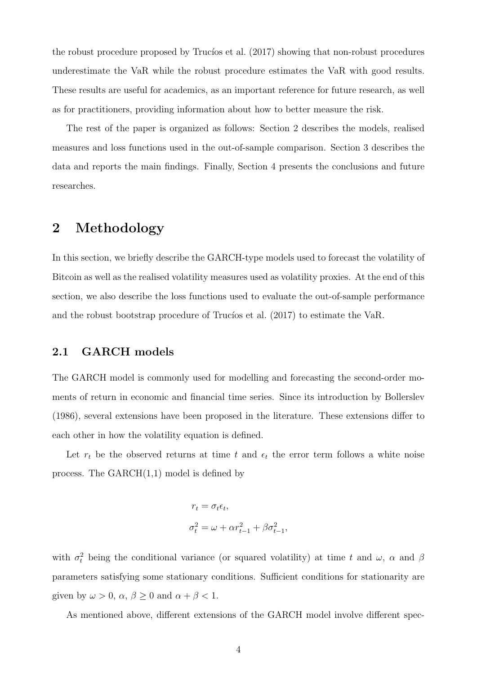the robust procedure proposed by Trucios et al.  $(2017)$  showing that non-robust procedures underestimate the VaR while the robust procedure estimates the VaR with good results. These results are useful for academics, as an important reference for future research, as well as for practitioners, providing information about how to better measure the risk.

The rest of the paper is organized as follows: Section 2 describes the models, realised measures and loss functions used in the out-of-sample comparison. Section 3 describes the data and reports the main findings. Finally, Section 4 presents the conclusions and future researches.

## 2 Methodology

In this section, we briefly describe the GARCH-type models used to forecast the volatility of Bitcoin as well as the realised volatility measures used as volatility proxies. At the end of this section, we also describe the loss functions used to evaluate the out-of-sample performance and the robust bootstrap procedure of Trucíos et al.  $(2017)$  to estimate the VaR.

### 2.1 GARCH models

The GARCH model is commonly used for modelling and forecasting the second-order moments of return in economic and financial time series. Since its introduction by Bollerslev (1986), several extensions have been proposed in the literature. These extensions differ to each other in how the volatility equation is defined.

Let  $r_t$  be the observed returns at time t and  $\epsilon_t$  the error term follows a white noise process. The  $GARCH(1,1)$  model is defined by

$$
\begin{aligned} r_t &= \sigma_t \epsilon_t, \\ \sigma_t^2 &= \omega + \alpha r_{t-1}^2 + \beta \sigma_{t-1}^2, \end{aligned}
$$

with  $\sigma_t^2$  being the conditional variance (or squared volatility) at time t and  $\omega$ ,  $\alpha$  and  $\beta$ parameters satisfying some stationary conditions. Sufficient conditions for stationarity are given by  $\omega > 0$ ,  $\alpha$ ,  $\beta \ge 0$  and  $\alpha + \beta < 1$ .

As mentioned above, different extensions of the GARCH model involve different spec-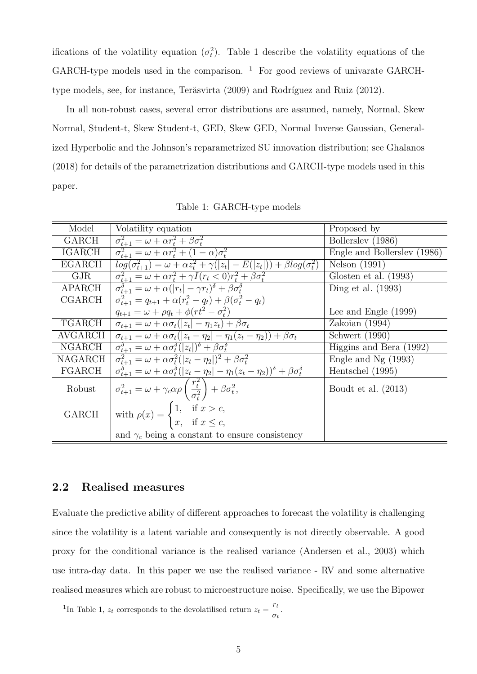ifications of the volatility equation  $(\sigma_t^2)$ . Table 1 describe the volatility equations of the GARCH-type models used in the comparison.  $1$  For good reviews of univarate GARCHtype models, see, for instance, Teräsvirta (2009) and Rodríguez and Ruiz (2012).

In all non-robust cases, several error distributions are assumed, namely, Normal, Skew Normal, Student-t, Skew Student-t, GED, Skew GED, Normal Inverse Gaussian, Generalized Hyperbolic and the Johnson's reparametrized SU innovation distribution; see Ghalanos (2018) for details of the parametrization distributions and GARCH-type models used in this paper.

| Model         | Volatility equation                                                                                                                   | Proposed by                 |
|---------------|---------------------------------------------------------------------------------------------------------------------------------------|-----------------------------|
| GARCH         | $\sigma_{t+1}^2 = \omega + \alpha r_t^2 + \beta \sigma_t^2$                                                                           | Bollerslev (1986)           |
| <b>IGARCH</b> | $\sigma_{t+1}^2 = \omega + \alpha r_t^2 + (1 - \alpha) \sigma_t^2$                                                                    | Engle and Bollerslev (1986) |
| <b>EGARCH</b> | $log(\sigma_{t+1}^2) = \omega + \alpha \overline{z_t^2 + \gamma( z_t  - E( z_t )) + \beta log(\sigma_t^2))}$                          | Nelson (1991)               |
| GJR           | $\sigma_{t+1}^2 = \omega + \alpha r_t^2 + \gamma I(r_t < 0)r_t^2 + \beta \sigma_t^2$                                                  | Glosten et al. $(1993)$     |
| <b>APARCH</b> | $\sigma_{t+1}^{\delta} = \omega + \alpha ( r_t  - \gamma r_t)^{\delta} + \beta \sigma_t^{\delta}$                                     | Ding et al. $(1993)$        |
| CGARCH        | $\sigma_{t+1}^2 = q_{t+1} + \alpha (r_t^2 - q_t) + \beta (\sigma_t^2 - q_t)$                                                          |                             |
|               | $q_{t+1} = \omega + \rho q_t + \phi(rt^2 - \sigma_t^2)$                                                                               | Lee and Engle $(1999)$      |
| <b>TGARCH</b> | $\sigma_{t+1} = \omega + \alpha \sigma_t( z_t  - \eta_1 z_t) + \beta \sigma_t$                                                        | Zakoian $(1994)$            |
| AVGARCH       | $\sigma_{t+1} = \omega + \alpha \sigma_t ( z_t - \eta_2  - \eta_1 (z_t - \eta_2)) + \beta \sigma_t$                                   | Schwert (1990)              |
| <b>NGARCH</b> | $\sigma_{t+1}^{\delta} = \omega + \alpha \overline{\sigma_t^{\delta}} ( z_t )^{\delta} + \beta \sigma_t^{\delta}$                     | Higgins and Bera (1992)     |
| NAGARCH       | $\overline{\sigma_{t+1}^2} = \omega + \alpha \sigma_t^2 ( z_t - \eta_2 )^2 + \beta \sigma_t^2$                                        | Engle and $Ng(1993)$        |
| FGARCH        | $\sigma_{t+1}^{\delta} = \omega + \alpha \sigma_t^{\delta}( z_t - \eta_2  - \eta_1(z_t - \eta_2))^{\delta} + \beta \sigma_t^{\delta}$ | Hentschel (1995)            |
| Robust        | $\overline{\sigma_{t+1}^2} = \omega + \gamma_c \alpha \rho \left(\frac{r_t^2}{\sigma_t^2}\right) + \beta \sigma_t^2,$                 | Boudt et al. $(2013)$       |
| <b>GARCH</b>  | with $\rho(x) = \begin{cases} 1, & \text{if } x > c, \\ x, & \text{if } x \leq c, \end{cases}$                                        |                             |
|               | and $\gamma_c$ being a constant to ensure consistency                                                                                 |                             |

Table 1: GARCH-type models

#### 2.2 Realised measures

Evaluate the predictive ability of different approaches to forecast the volatility is challenging since the volatility is a latent variable and consequently is not directly observable. A good proxy for the conditional variance is the realised variance (Andersen et al., 2003) which use intra-day data. In this paper we use the realised variance - RV and some alternative realised measures which are robust to microestructure noise. Specifically, we use the Bipower

<sup>&</sup>lt;sup>1</sup>In Table 1,  $z_t$  corresponds to the devolatilised return  $z_t = \frac{r_t}{z}$  $\frac{\cdot}{\sigma_t}$ .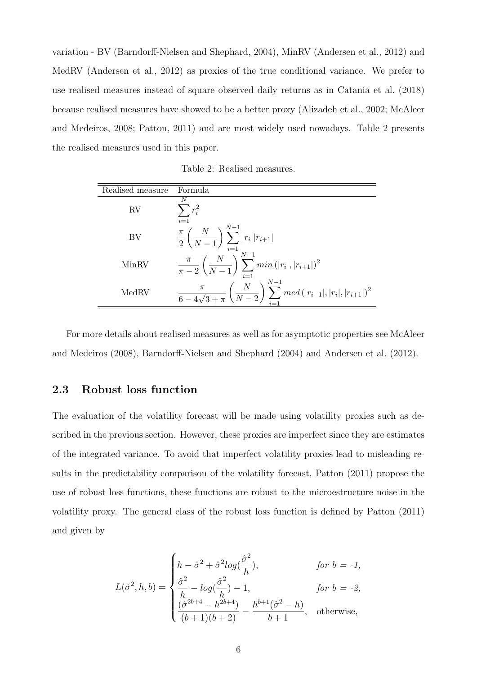variation - BV (Barndorff-Nielsen and Shephard, 2004), MinRV (Andersen et al., 2012) and MedRV (Andersen et al., 2012) as proxies of the true conditional variance. We prefer to use realised measures instead of square observed daily returns as in Catania et al. (2018) because realised measures have showed to be a better proxy (Alizadeh et al., 2002; McAleer and Medeiros, 2008; Patton, 2011) and are most widely used nowadays. Table 2 presents the realised measures used in this paper.

Table 2: Realised measures.

| Realised measure | Formula                                                                                                               |
|------------------|-----------------------------------------------------------------------------------------------------------------------|
| RV               | N<br>$r_i^2$<br>$i=1$                                                                                                 |
| BV               | $\frac{\pi}{2}\left(\frac{N}{N-1}\right)\sum_{i=1}^{N-1} r_i  r_{i+1} $                                               |
| MinRV            | $\frac{\pi}{\pi-2}\left(\frac{N}{N-1}\right)\sum_{i=1}^{N-1}min( r_i , r_{i+1} )^2$                                   |
| MedRV            | $\frac{\pi}{6-4\sqrt{3}+\pi}\left(\frac{N}{N-2}\right)\sum_{i=1}^{N-1} med\left( r_{i-1} , r_{i} , r_{i+1} \right)^2$ |

For more details about realised measures as well as for asymptotic properties see McAleer and Medeiros (2008), Barndorff-Nielsen and Shephard (2004) and Andersen et al. (2012).

### 2.3 Robust loss function

The evaluation of the volatility forecast will be made using volatility proxies such as described in the previous section. However, these proxies are imperfect since they are estimates of the integrated variance. To avoid that imperfect volatility proxies lead to misleading results in the predictability comparison of the volatility forecast, Patton (2011) propose the use of robust loss functions, these functions are robust to the microestructure noise in the volatility proxy. The general class of the robust loss function is defined by Patton (2011) and given by

$$
L(\hat{\sigma}^2, h, b) = \begin{cases} h - \hat{\sigma}^2 + \hat{\sigma}^2 log(\frac{\hat{\sigma}^2}{h}), & \text{for } b = -1, \\ \frac{\hat{\sigma}^2}{h} - log(\frac{\hat{\sigma}^2}{h}) - 1, & \text{for } b = -2, \\ \frac{(\hat{\sigma}^{2b+4} - h^{2b+4})}{(b+1)(b+2)} - \frac{h^{b+1}(\hat{\sigma}^2 - h)}{b+1}, & \text{otherwise,} \end{cases}
$$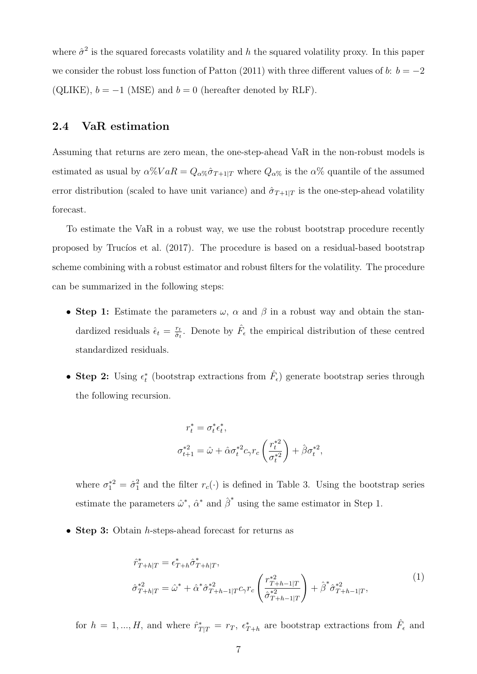where  $\hat{\sigma}^2$  is the squared forecasts volatility and h the squared volatility proxy. In this paper we consider the robust loss function of Patton (2011) with three different values of b:  $b = -2$ (QLIKE),  $b = -1$  (MSE) and  $b = 0$  (hereafter denoted by RLF).

#### 2.4 VaR estimation

Assuming that returns are zero mean, the one-step-ahead VaR in the non-robust models is estimated as usual by  $\alpha\%VaR = Q_{\alpha\%}\hat{\sigma}_{T+1|T}$  where  $Q_{\alpha\%}$  is the  $\alpha\%$  quantile of the assumed error distribution (scaled to have unit variance) and  $\hat{\sigma}_{T+1|T}$  is the one-step-ahead volatility forecast.

To estimate the VaR in a robust way, we use the robust bootstrap procedure recently proposed by Trucíos et al. (2017). The procedure is based on a residual-based bootstrap scheme combining with a robust estimator and robust filters for the volatility. The procedure can be summarized in the following steps:

- Step 1: Estimate the parameters  $\omega$ ,  $\alpha$  and  $\beta$  in a robust way and obtain the standardized residuals  $\hat{\epsilon}_t = \frac{r_t}{\hat{\sigma}_t}$  $\frac{r_t}{\hat{\sigma}_t}$ . Denote by  $\hat{F}_{\epsilon}$  the empirical distribution of these centred standardized residuals.
- Step 2: Using  $\epsilon_t^*$  (bootstrap extractions from  $\hat{F}_{\epsilon}$ ) generate bootstrap series through the following recursion.

$$
\begin{aligned} r_t^* &= \sigma_t^* \epsilon_t^*, \\ \sigma_{t+1}^{*2} &= \hat{\omega} + \hat{\alpha} \sigma_t^{*2} c_\gamma r_c \left( \frac{r_t^{*2}}{\sigma_t^{*2}} \right) + \hat{\beta} \sigma_t^{*2}, \end{aligned}
$$

where  $\sigma_1^{*2} = \hat{\sigma}_1^2$  $\frac{2}{1}$  and the filter  $r_c(\cdot)$  is defined in Table 3. Using the bootstrap series estimate the parameters  $\hat{\omega}^*$ ,  $\hat{\alpha}^*$  and  $\hat{\beta}^*$  using the same estimator in Step 1.

• Step 3: Obtain *h*-steps-ahead forecast for returns as

$$
\hat{r}_{T+h|T}^{*} = \epsilon_{T+h}^{*} \hat{\sigma}_{T+h|T}^{*},
$$
\n
$$
\hat{\sigma}_{T+h|T}^{*2} = \hat{\omega}^{*} + \hat{\alpha}^{*} \hat{\sigma}_{T+h-1|T}^{*2} c_{\gamma} r_{c} \left( \frac{r_{T+h-1|T}^{*2}}{\hat{\sigma}_{T+h-1|T}^{*2}} \right) + \hat{\beta}^{*} \hat{\sigma}_{T+h-1|T}^{*2},
$$
\n(1)

for  $h = 1, ..., H$ , and where  $\hat{r}_{T|T}^* = r_T$ ,  $\epsilon_{T+h}^*$  are bootstrap extractions from  $\hat{F}_{\epsilon}$  and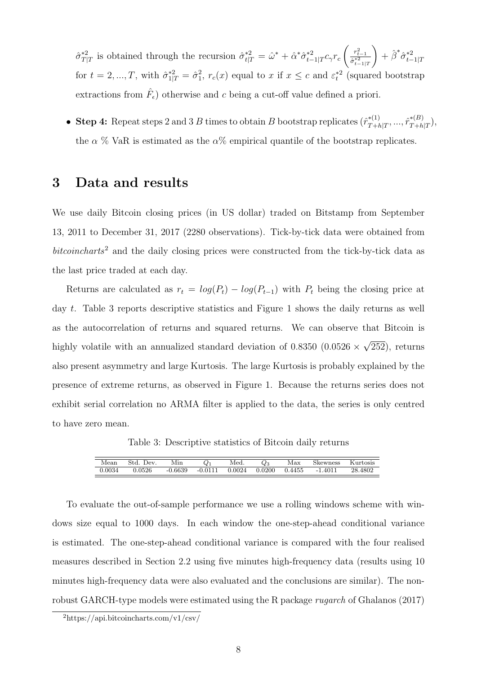$\hat{\sigma}_{T\text{l}}^{*2}$ <sup>\*2</sup><sub>T|T</sub> is obtained through the recursion  $\hat{\sigma}_{t|T}^{*2} = \hat{\omega}^* + \hat{\alpha}^* \hat{\sigma}_{t-}^{*2}$  $t^*$ <sup>\*2</sup><br> $t-1|T$ <sup>C</sup>γ<sup>r</sup>c  $\begin{pmatrix} r_{t-1}^2 \\ \frac{\hat{\sigma}^{*2}_{t-1}}{\hat{\sigma}^{*2}_{t-1|T}} \end{pmatrix}$  $+ \hat{\beta}^* \hat{\sigma}_{t-}^{*2}$  $t-1|T$ for  $t = 2, ..., T$ , with  $\hat{\sigma}_{1|T}^{*2} = \hat{\sigma}_{1}^{2}$  $_1^2$ ,  $r_c(x)$  equal to x if  $x \leq c$  and  $\varepsilon_t^{*2}$  (squared bootstrap extractions from  $\hat{F}_{\epsilon}$ ) otherwise and c being a cut-off value defined a priori.

• Step 4: Repeat steps 2 and 3 B times to obtain B bootstrap replicates  $(\hat{r}_{T+1}^{*(1)})$  $\hat{r}_{T+h|T}^{*(1)},...,\hat{r}_{T+h}^{*(B)}$  $T+h|T$ ), the  $\alpha$  % VaR is estimated as the  $\alpha$ % empirical quantile of the bootstrap replicates.

### 3 Data and results

We use daily Bitcoin closing prices (in US dollar) traded on Bitstamp from September 13, 2011 to December 31, 2017 (2280 observations). Tick-by-tick data were obtained from  $bitoin charts<sup>2</sup>$  and the daily closing prices were constructed from the tick-by-tick data as the last price traded at each day.

Returns are calculated as  $r_t = log(P_t) - log(P_{t-1})$  with  $P_t$  being the closing price at day t. Table 3 reports descriptive statistics and Figure 1 shows the daily returns as well as the autocorrelation of returns and squared returns. We can observe that Bitcoin is highly volatile with an annualized standard deviation of  $0.8350$  ( $0.0526 \times$ √ 252), returns also present asymmetry and large Kurtosis. The large Kurtosis is probably explained by the presence of extreme returns, as observed in Figure 1. Because the returns series does not exhibit serial correlation no ARMA filter is applied to the data, the series is only centred to have zero mean.

Table 3: Descriptive statistics of Bitcoin daily returns

| Mean   | Std<br>' Jev. | Min       | $Q_1$     | Med.   | Y 3    | Max    | Skewness                          | $\mathbf{u}$ rtosis |
|--------|---------------|-----------|-----------|--------|--------|--------|-----------------------------------|---------------------|
| 0.0034 | 0.0526        | $-0.6639$ | $-0.0111$ | 0.0024 | 0.0200 | 0.4455 | .4011<br>$\overline{\phantom{0}}$ | 28.4802             |

To evaluate the out-of-sample performance we use a rolling windows scheme with windows size equal to 1000 days. In each window the one-step-ahead conditional variance is estimated. The one-step-ahead conditional variance is compared with the four realised measures described in Section 2.2 using five minutes high-frequency data (results using 10 minutes high-frequency data were also evaluated and the conclusions are similar). The nonrobust GARCH-type models were estimated using the R package rugarch of Ghalanos (2017)

<sup>2</sup>https://api.bitcoincharts.com/v1/csv/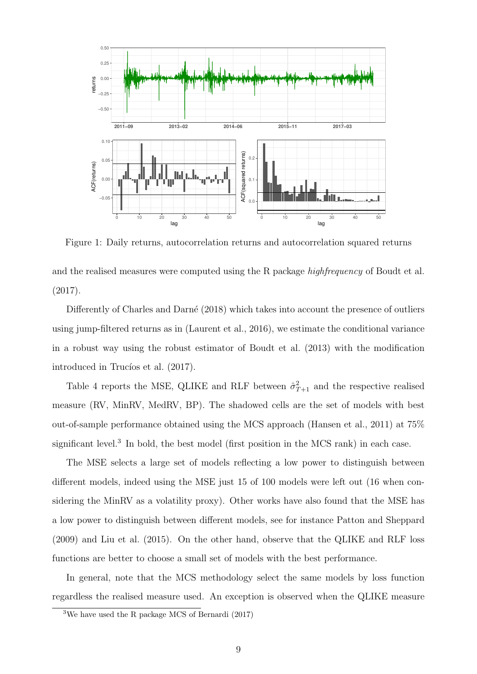

Figure 1: Daily returns, autocorrelation returns and autocorrelation squared returns

and the realised measures were computed using the R package *highfrequency* of Boudt et al. (2017).

Differently of Charles and Darné (2018) which takes into account the presence of outliers using jump-filtered returns as in (Laurent et al., 2016), we estimate the conditional variance in a robust way using the robust estimator of Boudt et al. (2013) with the modification introduced in Trucíos et al.  $(2017)$ .

Table 4 reports the MSE, QLIKE and RLF between  $\hat{\sigma}_{T+1}^2$  and the respective realised measure (RV, MinRV, MedRV, BP). The shadowed cells are the set of models with best out-of-sample performance obtained using the MCS approach (Hansen et al., 2011) at 75% significant level.<sup>3</sup> In bold, the best model (first position in the MCS rank) in each case.

The MSE selects a large set of models reflecting a low power to distinguish between different models, indeed using the MSE just 15 of 100 models were left out (16 when considering the MinRV as a volatility proxy). Other works have also found that the MSE has a low power to distinguish between different models, see for instance Patton and Sheppard (2009) and Liu et al. (2015). On the other hand, observe that the QLIKE and RLF loss functions are better to choose a small set of models with the best performance.

In general, note that the MCS methodology select the same models by loss function regardless the realised measure used. An exception is observed when the QLIKE measure

<sup>3</sup>We have used the R package MCS of Bernardi (2017)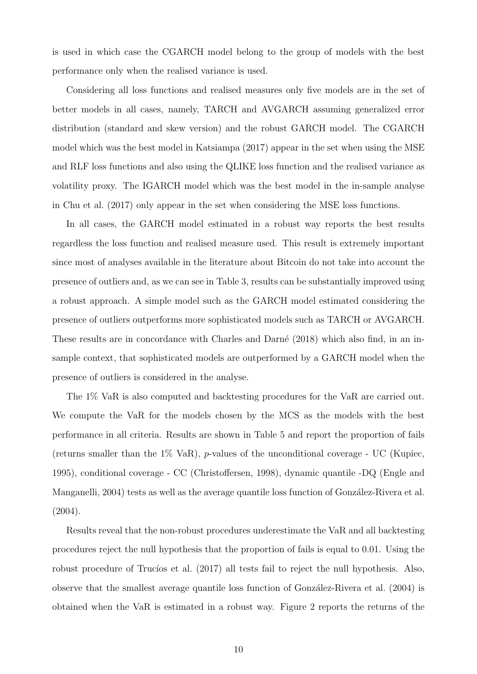is used in which case the CGARCH model belong to the group of models with the best performance only when the realised variance is used.

Considering all loss functions and realised measures only five models are in the set of better models in all cases, namely, TARCH and AVGARCH assuming generalized error distribution (standard and skew version) and the robust GARCH model. The CGARCH model which was the best model in Katsiampa (2017) appear in the set when using the MSE and RLF loss functions and also using the QLIKE loss function and the realised variance as volatility proxy. The IGARCH model which was the best model in the in-sample analyse in Chu et al. (2017) only appear in the set when considering the MSE loss functions.

In all cases, the GARCH model estimated in a robust way reports the best results regardless the loss function and realised measure used. This result is extremely important since most of analyses available in the literature about Bitcoin do not take into account the presence of outliers and, as we can see in Table 3, results can be substantially improved using a robust approach. A simple model such as the GARCH model estimated considering the presence of outliers outperforms more sophisticated models such as TARCH or AVGARCH. These results are in concordance with Charles and Darné (2018) which also find, in an insample context, that sophisticated models are outperformed by a GARCH model when the presence of outliers is considered in the analyse.

The 1% VaR is also computed and backtesting procedures for the VaR are carried out. We compute the VaR for the models chosen by the MCS as the models with the best performance in all criteria. Results are shown in Table 5 and report the proportion of fails (returns smaller than the  $1\%$  VaR), *p*-values of the unconditional coverage - UC (Kupiec, 1995), conditional coverage - CC (Christoffersen, 1998), dynamic quantile -DQ (Engle and Manganelli, 2004) tests as well as the average quantile loss function of González-Rivera et al. (2004).

Results reveal that the non-robust procedures underestimate the VaR and all backtesting procedures reject the null hypothesis that the proportion of fails is equal to 0.01. Using the robust procedure of Trucíos et al.  $(2017)$  all tests fail to reject the null hypothesis. Also, observe that the smallest average quantile loss function of González-Rivera et al. (2004) is obtained when the VaR is estimated in a robust way. Figure 2 reports the returns of the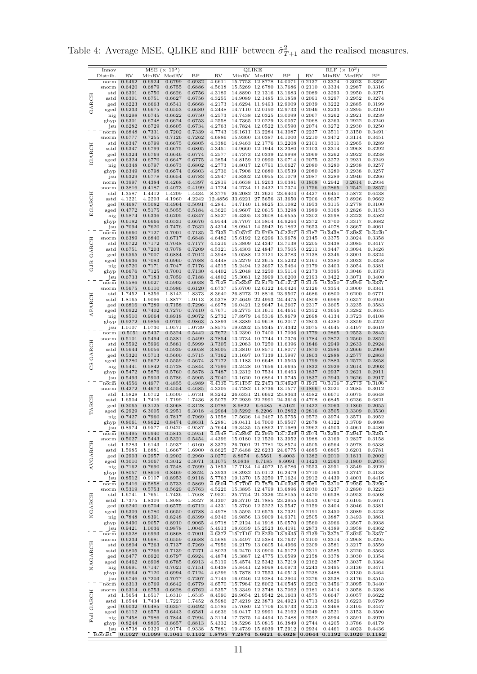$\begin{tabular}{l|c|c|c|c|c|c|c|c} \hline Innov & MSE & (\times~10^5) & QLIKE & RLF & (\times~10^3) \\ \hline Distrib. & RV & MinRV MedRV & BP & RW & MinRV MedRV & BP & RW & MinRV MedRV & BP \\ \hline \end{tabular}$ GARCH norm 0.6462 0.6924 0.6799 0.6932 4.6611 15.7753 12.8778 14.0071 0.2137 0.3374 0.3023 0.3356 snorm 0.6420 0.6879 0.6755 0.6886 4.5618 15.5269 12.6780 13.7686 0.2110 0.3334 0.2987 0.3316<br>std 0.6301 0.6750 0.6626 0.6756 4.3189 14.8890 12.1316 13.1683 0.2089 0.3293 0.2950 0.3271 std 0.6301 0.6750 0.6626 0.6756 4.3189 14.8890 12.1316 13.1683 0.2089 0.3293 0.2950 0.3271 sstd 0.6301 0.6751 0.6627 0.6756 4.3255 14.9089 12.1485 13.1858 0.2091 0.3297 0.2952 0.3274 ged 0.6223 0.6663 0.6541 0.6668 4.2173 14.6294 11.9493 12.9009 0.2039 0.3222 0.2885 0.3199 sged 0.6233 0.6675 0.6553 0.6680 4.2448 14.7110 12.0190 12.9733 0.2046 0.3233 0.2895 0.3210<br>hig 0.6298 0.6745 0.6622 0.6750 4.2573 14.7438 12.0325 13.0099 0.2067 0.3262 0.2921 0.3239 nig 0.6298 0.6745 0.6622 0.6750 4.2573 14.7438 12.0325 13.0099 0.2067 0.3262 0.2921 0.3239 ghyp 0.6301 0.6748 0.6624 0.6753 4.2558 14.7365 12.0229 13.0057 0.2068 0.3263 0.2922 0.3240 jsu 0.6282 0.6729 0.6605 0.6734 4.2763 14.7824 12.0522 13.0590 0.2074 0.3272 0.2930 0.3250 IGARCH norm 0.6848 0.7331 0.7202 0.7339 4.7743 16.1611 13.2284 14.3087 0.2237 0.3511 0.3150 0.3491 snorm 0.6777 0.7255 0.7126 0.7262 4.6886 15.9360 13.0387 14.1000 0.2210 0.3472 0.3114 0.3451 std 0.6347 0.6799 0.6675 0.6805 4.3386 14.9463 12.1776 13.2208 0.2101 0.3311 0.2965 0.3289 sstd 0.6347 0.6799 0.6675 0.6805 4.3451 14.9660 12.1944 13.2380 0.2103 0.3314 0.2968 0.3292<br>ged 0.6324 0.6769 0.6646 0.6774 4.2577 14.7373 12.0339 12.9998 0.2069 0.3262 0.2922 0.3238<br>sged 0.6324 0.6770 0.6647 0.6775 4.2854 ged 0.6324 0.6769 0.6646 0.6774 4.2577 14.7373 12.0339 12.9998 0.2069 0.3262 0.2922 0.3238 sged 0.6324 0.6770 0.6647 0.6775 4.2854 14.8159 12.0990 13.0714 0.2075 0.3272 0.2931 0.3249 nig 0.6348 0.6797 0.6673 0.6802 4.2773 14.8017 12.0791 13.0627 0.2080 0.3280 0.2938 0.3257 ghyp 0.6349 0.6798 0.6674 0.6803 4.2736 14.7908 12.0680 13.0539 0.2080 0.3280 0.2938 0.3257<br>jsu 0.6329 0.6778 0.6654 0.6783 4.2947 14.8362 12.0955 13.1079 0.2087 0.3289 0.2946 0.3267<br>norm 0.3997 0.4384 0.4268 0.4397 4.2819 jsu 0.6329 0.6778 0.6654 0.6783 4.2947 14.8362 12.0955 13.1079 0.2087 0.3289 0.2946 0.3266 norm 0.3997 0.4384 0.4268 0.4397 4.2819 14.6638 11.9263 13.0381 0.1808 0.2942 0.2614 0.2934 EGARCH snorm 0.3816 0.4187 0.4073 0.4199 4.1724 14.2734 11.5432 12.7374 0.1756 0.2865 0.2542 0.2857 std 1.3587 1.4412 1.4209 1.4434 8.3776 26.2082 21.2621 23.6404 0.4427 0.6451 0.5872 0.6438 std 4.1221 4.2203 4.1960 4.1223 4.1223 4.1223 12.7374 0.1756 0.2865 0.2842 0.2857<br>std 1.3587 1.4412 1.4209 1.4434 8.3776 26.2082 21.2621 23.6404 0.4427 0.6451 0.5872 0.6438<br>std 4.1221 4.2203 4.1960 4.2222 12.4856 33.6221 2 ged 0.4687 0.5082 0.4964 0.5091 4.2841 14.7140 11.8625 13.1082 0.1953 0.3115 0.2778 0.3100 sged 0.4772 0.5175 0.5055 0.5184 4.3620 14.9607 12.0615 13.3298 0.1989 0.3168 0.2826 0.3155 nig 0.5874 0.6336 0.6205 0.6347 4.8527 sged 0.4772 0.5175 0.5055 0.5184 4.3620 14.9607 12.0615 13.3298 0.1989 0.3168 0.2826 0.3153 nig 0.5874 0.6336 0.6205 0.6347 4.8527 16.4305 13.2608 14.6555 0.2302 0.3598 0.3223 0.3582  $g_{\rm{hyp}}$  0.6182 0.6666 0.6531 0.6676 4.9544 16.7707 13.5804 14.9264 0.2372 0.3700 0.3317 0.3682<br>  $j_{\rm{sun}}$  0.7094 0.7620 0.7476 0.7632 5.4314 18.0941 14.5942 16.1862 0.2653 0.4078 0.3667 0.4061<br>  $\overline{n_{\rm{sim}}}$  0.6660 0.712 jsu 0.7094 0.7620 0.7476 0.7632 5.4314 18.0941 14.5942 16.1862 0.2653 0.4078 0.3667 0.4061 norm 0.6660 0.7127 0.7001 0.7135 4.7435 15.9572 12.9768 14.2207 0.2187 0.3438 0.3083 0.3420 GJR-GARCH  $\begin{array}{cccccccc} \text{snorm} & 0.6389 & 0.6840 & 0.6717 & 0.6848 & 4.6482 & 15.6192 & 12.6296 & 13.9678 & 0.2145 & 0.3375 & 0.3024 & 0.3358 & 0.6416 & 0.6751 & 0.7177 & 4.5216 & 15.3809 & 12.4347 & 13.7138 & 0.2205 & 0.3438 & 0.3085 & 0.3417 & 0.3694 & 0.3698$ std 0.6722 0.7172 0.7048 0.7177 4.5216 15.3809 12.4347 13.7138 0.2205 0.3438 0.3085 0.3417 sstd 0.6751 0.7203 0.7078 0.7209 4.5321 15.4303 12.4847 13.7505 0.2211 0.3447 0.3094 0.3426 ged 0.6565 0.7007 0.6884 0.7012 4.3948 15.0588 12.2121 13.3783 0.2138 0.3346 0.3001 0.3324 sged 0.6636 0.7083 0.6960 0.7088 4.4448 15.2279 12.3615 13.5232 0.2161 0.3380 0.3033 0.3358  $\begin{array}{cccccccc} \mathbf{neg} & 0.6720 & 0.7171 & 0.7047 & 0.7176 & 4.4515 & 15.2494 & 12.3697 & 13.5464 & 0.2179 & 0.3403 & 0.3054 & 0.3381 \\ \mathbf{ghyp} & 0.6676 & 0.7125 & 0.7001 & 0.7130 & 4.4402 & 15.2048 & 12.3250 & 13.5114 & 0.2173 & 0.3395 & 0.3046 & 0.3373$ ghyp 0.6676 0.7125 0.7001 0.7130 4.4402 15.2048 12.3250 13.5114 0.2173 0.3395 0.3046 0.3373 jsu 0.6733 0.7183 0.7059 0.7188 4.4802 15.3081 12.3999 13.6200 0.2193 0.3422 0.3071 0.3400 APARCH  $\overline{100}$  0.5586 0.6027 0.5902 0.6038  $\overline{4.7028}$  15.8339 12.8170  $\overline{14.1272}$  0.2115  $\overline{0.3350}$  0.2995 0.3337<br>  $\overline{100}$  0.5675 0.6110 0.5986 0.6120 4.6737 15.6700 12.6122 14.0424 0.2126 0.3354 0.3000 0.3341  $\small \begin{array}{l} \text{snorm} \end{array} \begin{array}{l} 0.5675 \quad 0.6110 \quad 0.5986 \quad 0.6120 \quad 4.6737 \quad 15.6700 \quad 12.6122 \quad 14.0424 \quad 0.2126 \quad 0.3354 \quad 0.3000 \quad 0.3341 \end{array}$ std 1.7452 1.8356 1.8142 1.8373 8.3640 26.8273 21.8816 23.9507 0.4686 0.6800 0.6200 0.6771 std 1.8165 1.9096 1.8877 1.9113 8.5378 27.4649 22.4993 24.4475 0.4809 0.6969 0.6357 0.6940<br>ged 0.6816 0.7289 0.7158 0.7296 4.6978 16.0421 12.9647 14.2607 0.2317 0.3605 0.3235 0.3583<br>gged 0.6922 0.7402 0.7270 0.7410 4.7671 ged| 0.6816 0.7289 0.7158 0.7296| 4.6978 16.0421 12.9647 14.2607| 0.2317 0.3605 0.3235 0.3583<br>sged| 0.6922 0.7402 0.7270 0.7410| 4.7671 16.2775 13.1611 14.4651| 0.2352 0.3656 0.3282 nig 0.8510 0.9064 0.8918 0.9072 5.2732 17.8979 14.5316 15.8679 0.2698 0.4134 0.3723 0.4108 ghyp 0.9272 0.9856 0.9705 0.9863 5.3893 18.3389 14.9618 16.2017 0.2803 0.4280 0.3859 0.4252 ghyp 0.9272 0.9856 0.9705 0.9863 5.3893 18.3389 14.9618 16.2017 0.2803 0.4280 0.3859 0.4252<br>1su 1.0107 1.0730 1.0571 1.0739 5.8575 19.6262 15.9345 17.4342 0.3075 0.4645 0.4197 0.4619<br>1norm 0.5051 0.5437 0.5324 0.5442 3.767 CS-GARCH  $\begin{bmatrix} -\frac{1}{2} & 0.5051 & 0.5437 & 0.5324 & 0.5442 \ 0.5051 & 0.5437 & 0.5324 & 0.5442 & 3.7672 & 13.2390 & 10.7400 & 11.7096 & 0.1779 & 0.2865 & 0.2553 & 0.2845 \ \text{snorm} & 0.5101 & 0.5494 & 0.5381 & 0.5499 & 3.7854 & 13.2734 & 10.7744 & 11.7376 &$ snorm 0.5101 0.5494 0.5381 0.5499 3.7854 13.2734 10.7744 11.7376 0.1784 0.2872 0.2560 0.2852 std 0.5592 0.5996 0.5881 0.5999 3.7305 13.2083 10.7250 11.6396 0.1846 0.2949 0.2633 0.2924 std 0.5592 0.5996 0.5881 0.5999 3.7305 13.2083 10.7250 11.6396 0.1846 0.2949 0.2633 0.2924<br>sstd 0.5644 0.6056 0.5939 0.6058 3.8005 13.3810 10.8571 11.8077 0.1870 0.2986 0.2666 0.2960<br>ged 0.5320 0.5713 0.5600 0.5715 3.7362 ged 0.5320 0.5713 0.5600 0.5715 3.7362 13.1697 10.7139 11.5997 0.1803 0.2888 0.2577 0.2863 sged 0.5280 0.5672 0.5559 0.5674 3.7172 13.1183 10.6648 11.5505 0.1799 0.2883 0.2572 0.2858<br>nig 0.5441 0.5842 0.5728 0.5844 3.7599 13.2428 10.7656 11.6695 0.1832 0.2929 0.2614 0.2903 nig 0.5441 0.5842 0.5728 0.5844 3.7599 13.2428 10.7656 11.6695 0.1832 0.2929 0.2614 0.2903 ghyp 0.5472 0.5876 0.5760 0.5878 3.7487 13.2312 10.7534 11.6463 0.1837 0.2923 0.2621 0.2911<br>jsu 0.5493 0.5903 0.5760 0.5905 3.7040 13.1620 10.6864 11.5745 0.1837 0.2943 0.2626 0.2911<br>norm 0.4556 0.4977 0.4855 0.4989 4.4336 jsu 0.5493 0.5903 0.5786 0.5905 3.7040 13.1620 10.6864 11.5745 0.1837 0.2943 0.2626 0.2917 norm 0.4556 0.4977 0.4855 0.4989 4.4336 15.1155 12.2453 13.4620 0.1931 0.3116 0.2773 0.3106 TARCH snorm 0.4272 0.4673 0.4554 0.4685 4.3205 14.7282 11.8736 13.1577 0.1866 0.3021 0.2685 0.3012<br>std 1.5828 1.6712 1.6500 1.6731 8.3242 26.6331 21.6692 23.8363 0.4582 0.6671 0.6075 0.6648<br>sstd 1.6504 1.7416 1.7199 1.7436 8.507 std 1.5828 1.6712 1.6500 1.6731 8.3242 26.6331 21.6692 23.8363 0.4582 0.6671 0.6075 0.6648 sstd | 1.6504 1.7416 1.7199 1.7436 | 8.5075 27.2939 22.2991 24.3616 | 0.4708 0.6845 0.6236 0.6821 ged 0.3065 0.3125 0.3068 0.3128 3.0786 8.9822 6.6485 8.5162 0.1422 0.2063 0.1860 0.2055 sged 6.2929 6.3005 6.2951 6.3018 4.2964 10.5292 8.2206 10.2862 0.2816 0.3505 0.3309 0.3530 nig 0.7427 0.7960 0.7817 0.7969 5.1558 17.5 sged 6.2929 6.3005 6.2951 6.3018 4.2964 10.5292 8.2206 10.2862 0.2816 0.3505 0.3309 0.3530 nig 0.7427 0.7960 0.7817 0.7969 5.1558 17.5626 14.2467 15.5755 0.2572 0.3974 0.3571 0.3952  $\begin{array}{cccccccccccc} \text{ghyp} & 0.8061 & 0.8622 & 0.8474 & 0.8631 & 5.2881 & 18.0411 & 14.7000 & 15.9507 & 0.2678 & 0.4122 & 0.3709 & 0.4098 \\ \text{jsu} & 0.8974 & 0.9577 & 0.9420 & 0.9587 & 5.7644 & 19.3435 & 15.6862 & 17.1989 & 0.2962 & 0.4503 & 0.4061 & 0.4480 \\$ jsu 0.8974 0.9577 0.9420 0.9587 5.7644 19.3435 15.6862 17.1989 0.2962 0.4503 0.4061 0.4480 norm 0.5495 0.5940 0.5813 0.5951 4.5948 15.2893 12.2950 13.7239 0.2074 0.3293 0.2941 0.3281 AVGARCH snorm 0.5027 0.5443 0.5321 0.5454 4.4396 15.0180 12.1520 13.3952 0.1988 0.3169 0.2827 0.3158 std 1.5283 1.6143 1.5937 1.6160 8.3379 26.7001 21.7781 23.8574 0.4505 0.6564 0.5978 0.6538 sstd 1.5985 1.6881 1.6667 1.6900 8.6625 27.6488 22.6233 24.6775 0.4685 0.6805 0.6201 0.6781<br>ged 0.2903 0.2957 0.2902 0.2960 3.0270 8.8674 6.5561 8.4003 0.1382 0.2010 0.1811 0.2002<br>ged 0.3010 0.3067 0.3012 0.3071 3.1075 9.0 ged 0.2903 0.2957 0.2902 0.2960 3.0270 8.8674 6.5561 8.4003 0.1382 0.2010 0.1811 0.2002 sged 0.3010 0.3067 0.3012 0.3071 3.1075 9.0838 6.7185 8.6091 0.1423 0.2063 0.1860 0.2055 nig 0.7162 0.7690 0.7548 0.7699 5.1853 17.7134 14.4072 15.6786 0.2553 0.3951 0.3549 0.3929 ghyp 0.8057 0.8616 0.8469 0.8624 5.3933 18.3932 15.0112 16.2479 0.2710 0.4163 0.3747 0.4138 jsu 0.8512 0.9107 0.8953 0.9118 5.7763 19.1370 15.3250 17.1624 0.2912 0.4439 0.4001 0.4416 norm 0.5416 0.5858 0.5733 0.5869 4.6604 15.7700 12.7876 14.0398 0.2081 0.3310 0.2956 0.3296 NGARCH snorm 0.5319 0.5753 0.5629 0.5763 4.5226 15.3895 12.4799 13.6896 0.2030 0.3237 0.2890 0.3223 std 1.6741 1.7651 1.7436 1.7668 7.9521 25.7754 21.2326 22.8155 0.4470 0.6538 0.5953 0.6508 sstd 1.7375 1.8309 1.8089 1.8327 8.1307 26.3710 21.7885 23.2955 0.4593 0.6702 0.6105 0.6671 ged 0.6240 0.6704 0.6575 0.6712 4.4331 15.3760 12.5222 13.5547 0.2159 0.3404 0.3046 0.3381 sged 0.6309 0.6780 0.6650 0.6788 4.4978 15.5595 12.6575 13.7321 0.2191 0.3450 0.3089 0.3428 nig 0.7848 0.8391 0.8248 0.8399 4.9346 16.9856 13.9009 14.9371 0.2191 0.3450 0.3089 0.3428<br>nig 0.7848 0.8391 0.8248 0.8399 4.9346 16.9856 13.9009 14.9371 0.2505 0.3887 0.3493 0.3861<br>jsu 0.8490 0.9057 0.8910 0.9065 4.9913 1  $\begin{bmatrix} 17.2124 & 14.1918 & 15.0570 & 0.2560 & 0.3966 & 0.3567 \ 18.6339 & 15.2523 & 16.4191 & 0.2873 & 0.4389 & 0.3958 \ \hline \end{bmatrix}$ jsu 0.9421 1.0036 0.9878 1.0045 5.4913 18.6339 15.2523 16.4191 0.2873 0.4389 0.3958 0.4362 NAGARCH norm 0.6528 0.6993 0.6868 0.7001 4.6372 15.7110 12.8230 13.9435 0.2139 0.3375 0.3025 0.3357 snorm 0.6234 0.6681 0.6559 0.6688 4.5686 15.4497 12.5384 13.7637 0.2100 0.3314 0.2968 0.3295<br>std 0.6804 0.7263 0.7137 0.7269 4.7956 16.2179 13.0605 14.4966 0.2309 0.3581 0.3114 0.2968 0.3295<br>std 0.6805 0.7266 0.7139 0.7271 std 0.6804 0.7263 0.7137 0.7269 4.7956 16.2179 13.0605 14.4966 0.2309 0.3581 0.3217 0.3559 sstd 0.6805 0.7266 0.7139 0.7271 4.8023 16.2470 13.0900 14.5172 0.2311 0.3585 0.3220 0.3563 ged 0.6477 0.6920 0.6797 0.6924 4.4874 15.3887 12.4775 13.6599 0.2158 0.3378 0.3030 0.3354 sged 0.6462 0.6908 0.6785 0.6913 4.5119 15.4574 12.5342 13.7219 0.2162 0.3387 0.3037 0.3364 nig 0.6691 0.7147 0.7021 0.7151 4.6438 15.8441 12.8098 14.0973 0.2243 0.3495 0.3136 0.3471 ghyp 0.6664 0.7120 0.6994 0.7124 4.6296 15.7878 12.7553 14.0513 0.2238 0.3488 0.3130 0.3464<br>jsu 0.6746 0.7203 0.7077 0.7207 4.7149 16.0246 12.9284 14.2904 0.2276 0.3538 0.3176 0.3515<br>norm 0.6313 0.6769 0.6642 0.6779 4.6570  $\left[ \begin{array}{cccccccccccc} j_{\text{su}} & 0.6746 & 0.7203 & 0.7077 & 0.7207 & 4.7149 & 16.0246 & 12.9284 & 14.2904 & 0.2276 & 0.3538 & 0.3176 & 0.3515 \ \hline \text{norm} & 0.6313 & 0.6769 & 0.6642 & 0.6779 & 4.6570 & 15.7984 & 12.8002 & 14.0545 & 0.2202 & 0.3456 & 0.3095 &$ Full GARCH 0.6313 0.6769 0.6642 0.6779 4.6570 15.7984 12.8002 14.0545 0.2202 0.3456 0.3095 0.3440<br>0.6314 0.6753 0.6628 0.6762 4.5357 15.3349 12.3748 13.7062 0.2181 0.3414 0.3058 0.3398 snorm 0.6314 0.6753 0.6628 0.6762 4.5357 15.3349 12.3748 13.7062 0.2181 0.3414 0.3058 0.3398 std 1.5654 1.6517 1.6310 1.6325 8.4590 26.9238 3.4216 1.6544 1.7434 1.7221 1.7452 8.5986 27.4219 22.3873 24.1603 0.4575 0.6626 0. std 1.5654 1.6517 1.6310 1.6535 8.4590 26.9654 21.9542 24.1603 0.4575 0.6647 0.6057 0.6622<br>std 1.6544 1.7434 1.7221 1.7452 8.5986 27.4219 22.3873 24.4923 0.4713 0.6826 0.6223 0.6799 sstd 1.6544 1.7434 1.7221 1.7452 8.5986 27.4219 22.3873 24.4923 0.4713 0.6826 0.6223 0.6799<br>ged 0.6032 0.6485 0.6357 0.6492 4.5789 15.7680 12.7706 13.9733 0.2213 0.3468 0.3105 0.3443 ged 0.6032 0.6485 0.6357 0.6492 4.5789 15.7680 12.7706 13.9733 0.2213 0.3468 0.3105 0.3447 sged 0.6112 0.6573 0.6443 0.6581 4.6636 16.0417 12.9991 14.2162 0.2249 0.3521 0.3153 0.3500 nig 0.7458 0.7986 0.7844 0.7994 5.2114 17.7875 14.4494 15.7488 0.2592 0.3994 0.3591 0.3970 ghyp 0.8244 0.8805 0.8657 0.8813 5.4332 18.5296 15.0815 16.3849 0.2744 0.4205 0.3786 0.4179 jsu 0.8738 0.9329 0.9174 0.9338 5.7881 19.4739 15.8039 17.2912 0.2934 0.4461 0.4023 0.4436 Robust 0.1027 0.1099 0.1041 0.1102 1.8795 7.2874 5.6621 6.4628 0.0644 0.1192 0.1020 0.1182

Table 4: Average MSE, QLIKE and RHF between  $\hat{\sigma}_{T+1}^2$  and the realised measures.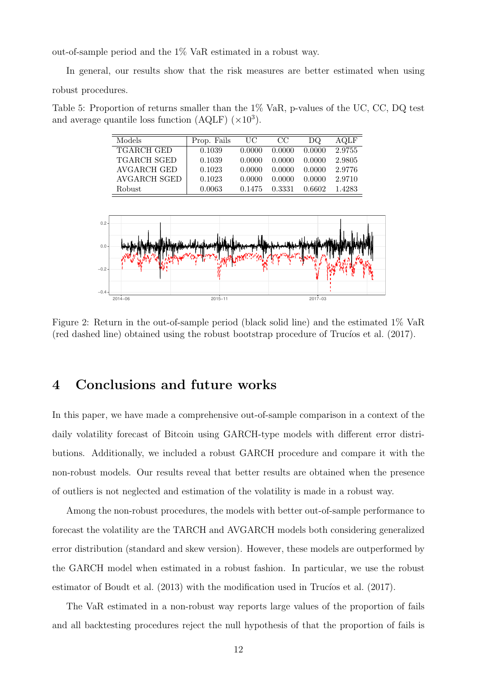out-of-sample period and the 1% VaR estimated in a robust way.

In general, our results show that the risk measures are better estimated when using robust procedures.

Table 5: Proportion of returns smaller than the 1% VaR, p-values of the UC, CC, DQ test and average quantile loss function  $(AQLF)$   $(\times 10^3)$ .

| Models             | Prop. Fails | UC     | CC     | DQ     | AOLF   |
|--------------------|-------------|--------|--------|--------|--------|
| <b>TGARCH GED</b>  | 0.1039      | 0.0000 | 0.0000 | 0.0000 | 2.9755 |
| <b>TGARCH SGED</b> | 0.1039      | 0.0000 | 0.0000 | 0.0000 | 2.9805 |
| AVGARCH GED        | 0.1023      | 0.0000 | 0.0000 | 0.0000 | 2.9776 |
| AVGARCH SGED       | 0.1023      | 0.0000 | 0.0000 | 0.0000 | 2.9710 |
| <b>Robust</b>      | 0.0063      | 0.1475 | 0.3331 | 0.6602 | 1.4283 |



Figure 2: Return in the out-of-sample period (black solid line) and the estimated 1% VaR (red dashed line) obtained using the robust bootstrap procedure of Trucíos et al.  $(2017)$ .

### 4 Conclusions and future works

In this paper, we have made a comprehensive out-of-sample comparison in a context of the daily volatility forecast of Bitcoin using GARCH-type models with different error distributions. Additionally, we included a robust GARCH procedure and compare it with the non-robust models. Our results reveal that better results are obtained when the presence of outliers is not neglected and estimation of the volatility is made in a robust way.

Among the non-robust procedures, the models with better out-of-sample performance to forecast the volatility are the TARCH and AVGARCH models both considering generalized error distribution (standard and skew version). However, these models are outperformed by the GARCH model when estimated in a robust fashion. In particular, we use the robust estimator of Boudt et al.  $(2013)$  with the modification used in Trucíos et al.  $(2017)$ .

The VaR estimated in a non-robust way reports large values of the proportion of fails and all backtesting procedures reject the null hypothesis of that the proportion of fails is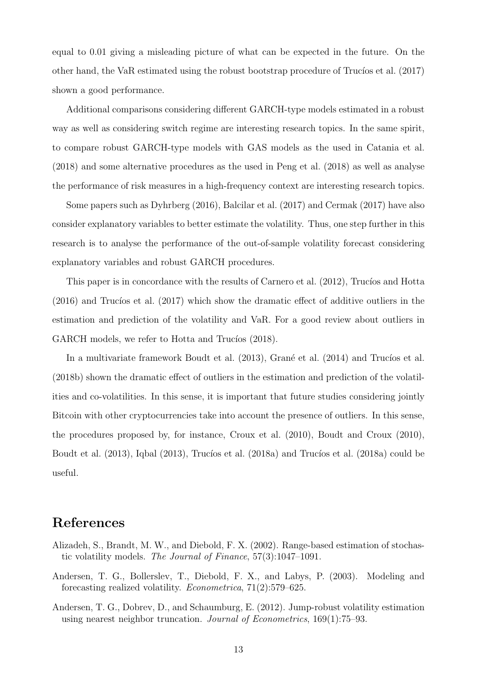equal to 0.01 giving a misleading picture of what can be expected in the future. On the other hand, the VaR estimated using the robust bootstrap procedure of Trucíos et al.  $(2017)$ shown a good performance.

Additional comparisons considering different GARCH-type models estimated in a robust way as well as considering switch regime are interesting research topics. In the same spirit, to compare robust GARCH-type models with GAS models as the used in Catania et al. (2018) and some alternative procedures as the used in Peng et al. (2018) as well as analyse the performance of risk measures in a high-frequency context are interesting research topics.

Some papers such as Dyhrberg (2016), Balcilar et al. (2017) and Cermak (2017) have also consider explanatory variables to better estimate the volatility. Thus, one step further in this research is to analyse the performance of the out-of-sample volatility forecast considering explanatory variables and robust GARCH procedures.

This paper is in concordance with the results of Carnero et al.  $(2012)$ , Trucíos and Hotta  $(2016)$  and Trucios et al.  $(2017)$  which show the dramatic effect of additive outliers in the estimation and prediction of the volatility and VaR. For a good review about outliers in GARCH models, we refer to Hotta and Trucios (2018).

In a multivariate framework Boudt et al. (2013), Grané et al. (2014) and Trucíos et al. (2018b) shown the dramatic effect of outliers in the estimation and prediction of the volatilities and co-volatilities. In this sense, it is important that future studies considering jointly Bitcoin with other cryptocurrencies take into account the presence of outliers. In this sense, the procedures proposed by, for instance, Croux et al. (2010), Boudt and Croux (2010), Boudt et al.  $(2013)$ , Iqbal  $(2013)$ , Trucíos et al.  $(2018a)$  and Trucíos et al.  $(2018a)$  could be useful.

### References

- Alizadeh, S., Brandt, M. W., and Diebold, F. X. (2002). Range-based estimation of stochastic volatility models. The Journal of Finance, 57(3):1047–1091.
- Andersen, T. G., Bollerslev, T., Diebold, F. X., and Labys, P. (2003). Modeling and forecasting realized volatility. Econometrica, 71(2):579–625.
- Andersen, T. G., Dobrev, D., and Schaumburg, E. (2012). Jump-robust volatility estimation using nearest neighbor truncation. Journal of Econometrics, 169(1):75–93.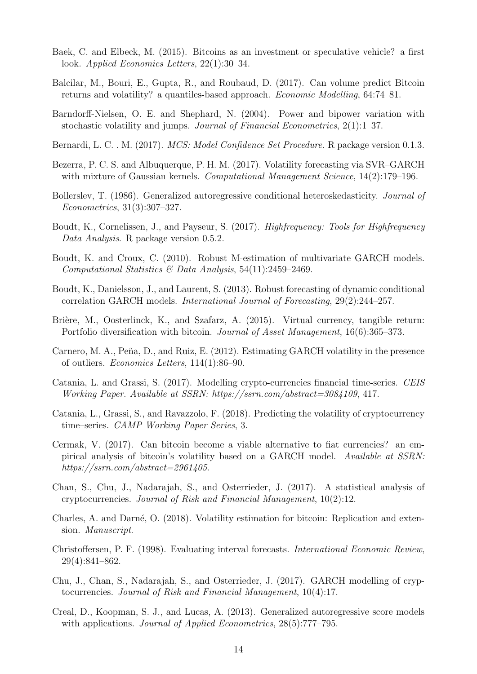- Baek, C. and Elbeck, M. (2015). Bitcoins as an investment or speculative vehicle? a first look. Applied Economics Letters, 22(1):30–34.
- Balcilar, M., Bouri, E., Gupta, R., and Roubaud, D. (2017). Can volume predict Bitcoin returns and volatility? a quantiles-based approach. Economic Modelling, 64:74–81.
- Barndorff-Nielsen, O. E. and Shephard, N. (2004). Power and bipower variation with stochastic volatility and jumps. Journal of Financial Econometrics, 2(1):1–37.
- Bernardi, L. C. . M. (2017). *MCS: Model Confidence Set Procedure*. R package version 0.1.3.
- Bezerra, P. C. S. and Albuquerque, P. H. M. (2017). Volatility forecasting via SVR–GARCH with mixture of Gaussian kernels. Computational Management Science, 14(2):179–196.
- Bollerslev, T. (1986). Generalized autoregressive conditional heteroskedasticity. *Journal of* Econometrics, 31(3):307–327.
- Boudt, K., Cornelissen, J., and Payseur, S. (2017). Highfrequency: Tools for Highfrequency Data Analysis. R package version 0.5.2.
- Boudt, K. and Croux, C. (2010). Robust M-estimation of multivariate GARCH models. Computational Statistics & Data Analysis, 54(11):2459–2469.
- Boudt, K., Danielsson, J., and Laurent, S. (2013). Robust forecasting of dynamic conditional correlation GARCH models. International Journal of Forecasting, 29(2):244–257.
- Brière, M., Oosterlinck, K., and Szafarz, A. (2015). Virtual currency, tangible return: Portfolio diversification with bitcoin. *Journal of Asset Management*, 16(6):365–373.
- Carnero, M. A., Peña, D., and Ruiz, E. (2012). Estimating GARCH volatility in the presence of outliers. Economics Letters, 114(1):86–90.
- Catania, L. and Grassi, S. (2017). Modelling crypto-currencies financial time-series. CEIS Working Paper. Available at SSRN: https://ssrn.com/abstract=3084109, 417.
- Catania, L., Grassi, S., and Ravazzolo, F. (2018). Predicting the volatility of cryptocurrency time–series. CAMP Working Paper Series, 3.
- Cermak, V. (2017). Can bitcoin become a viable alternative to fiat currencies? an empirical analysis of bitcoin's volatility based on a GARCH model. Available at SSRN: https://ssrn.com/abstract=2961405.
- Chan, S., Chu, J., Nadarajah, S., and Osterrieder, J. (2017). A statistical analysis of cryptocurrencies. Journal of Risk and Financial Management, 10(2):12.
- Charles, A. and Darné, O. (2018). Volatility estimation for bitcoin: Replication and extension. Manuscript.
- Christoffersen, P. F. (1998). Evaluating interval forecasts. International Economic Review, 29(4):841–862.
- Chu, J., Chan, S., Nadarajah, S., and Osterrieder, J. (2017). GARCH modelling of cryptocurrencies. Journal of Risk and Financial Management, 10(4):17.
- Creal, D., Koopman, S. J., and Lucas, A. (2013). Generalized autoregressive score models with applications. *Journal of Applied Econometrics*,  $28(5)$ :777–795.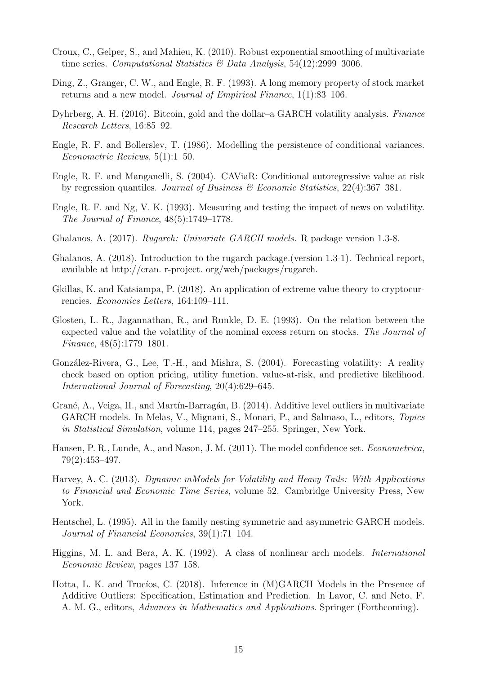- Croux, C., Gelper, S., and Mahieu, K. (2010). Robust exponential smoothing of multivariate time series. Computational Statistics & Data Analysis,  $54(12):2999-3006$ .
- Ding, Z., Granger, C. W., and Engle, R. F. (1993). A long memory property of stock market returns and a new model. Journal of Empirical Finance, 1(1):83–106.
- Dyhrberg, A. H. (2016). Bitcoin, gold and the dollar–a GARCH volatility analysis. Finance Research Letters, 16:85–92.
- Engle, R. F. and Bollerslev, T. (1986). Modelling the persistence of conditional variances. Econometric Reviews, 5(1):1–50.
- Engle, R. F. and Manganelli, S. (2004). CAViaR: Conditional autoregressive value at risk by regression quantiles. Journal of Business & Economic Statistics,  $22(4):367-381$ .
- Engle, R. F. and Ng, V. K. (1993). Measuring and testing the impact of news on volatility. The Journal of Finance, 48(5):1749–1778.
- Ghalanos, A. (2017). Rugarch: Univariate GARCH models. R package version 1.3-8.
- Ghalanos, A. (2018). Introduction to the rugarch package.(version 1.3-1). Technical report, available at http://cran. r-project. org/web/packages/rugarch.
- Gkillas, K. and Katsiampa, P. (2018). An application of extreme value theory to cryptocurrencies. Economics Letters, 164:109–111.
- Glosten, L. R., Jagannathan, R., and Runkle, D. E. (1993). On the relation between the expected value and the volatility of the nominal excess return on stocks. The Journal of Finance, 48(5):1779–1801.
- González-Rivera, G., Lee, T.-H., and Mishra, S. (2004). Forecasting volatility: A reality check based on option pricing, utility function, value-at-risk, and predictive likelihood. International Journal of Forecasting, 20(4):629–645.
- Grané, A., Veiga, H., and Martín-Barragán, B. (2014). Additive level outliers in multivariate GARCH models. In Melas, V., Mignani, S., Monari, P., and Salmaso, L., editors, Topics in Statistical Simulation, volume 114, pages 247–255. Springer, New York.
- Hansen, P. R., Lunde, A., and Nason, J. M. (2011). The model confidence set. Econometrica, 79(2):453–497.
- Harvey, A. C. (2013). Dynamic mModels for Volatility and Heavy Tails: With Applications to Financial and Economic Time Series, volume 52. Cambridge University Press, New York.
- Hentschel, L. (1995). All in the family nesting symmetric and asymmetric GARCH models. Journal of Financial Economics, 39(1):71–104.
- Higgins, M. L. and Bera, A. K. (1992). A class of nonlinear arch models. International Economic Review, pages 137–158.
- Hotta, L. K. and Trucíos, C. (2018). Inference in (M)GARCH Models in the Presence of Additive Outliers: Specification, Estimation and Prediction. In Lavor, C. and Neto, F. A. M. G., editors, Advances in Mathematics and Applications. Springer (Forthcoming).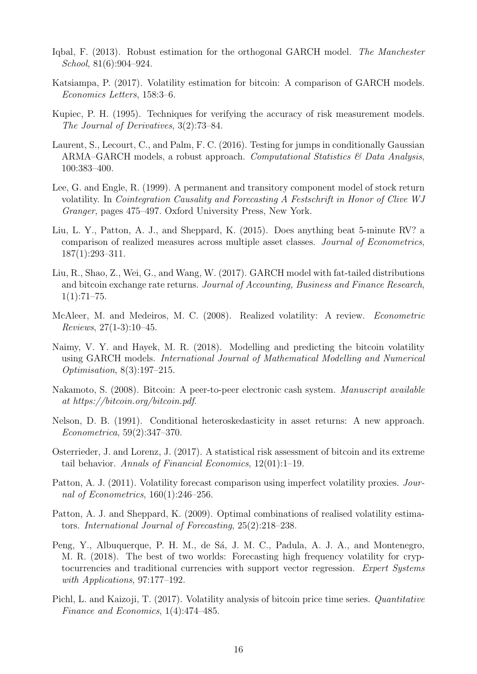- Iqbal, F. (2013). Robust estimation for the orthogonal GARCH model. The Manchester School, 81(6):904–924.
- Katsiampa, P. (2017). Volatility estimation for bitcoin: A comparison of GARCH models. Economics Letters, 158:3–6.
- Kupiec, P. H. (1995). Techniques for verifying the accuracy of risk measurement models. The Journal of Derivatives, 3(2):73–84.
- Laurent, S., Lecourt, C., and Palm, F. C. (2016). Testing for jumps in conditionally Gaussian ARMA–GARCH models, a robust approach. Computational Statistics  $\mathcal{B}$  Data Analysis, 100:383–400.
- Lee, G. and Engle, R. (1999). A permanent and transitory component model of stock return volatility. In Cointegration Causality and Forecasting A Festschrift in Honor of Clive WJ Granger, pages 475–497. Oxford University Press, New York.
- Liu, L. Y., Patton, A. J., and Sheppard, K. (2015). Does anything beat 5-minute RV? a comparison of realized measures across multiple asset classes. Journal of Econometrics, 187(1):293–311.
- Liu, R., Shao, Z., Wei, G., and Wang, W. (2017). GARCH model with fat-tailed distributions and bitcoin exchange rate returns. Journal of Accounting, Business and Finance Research,  $1(1):71-75.$
- McAleer, M. and Medeiros, M. C. (2008). Realized volatility: A review. *Econometric* Reviews, 27(1-3):10–45.
- Naimy, V. Y. and Hayek, M. R. (2018). Modelling and predicting the bitcoin volatility using GARCH models. International Journal of Mathematical Modelling and Numerical Optimisation, 8(3):197–215.
- Nakamoto, S. (2008). Bitcoin: A peer-to-peer electronic cash system. Manuscript available at https://bitcoin.org/bitcoin.pdf.
- Nelson, D. B. (1991). Conditional heteroskedasticity in asset returns: A new approach. Econometrica, 59(2):347–370.
- Osterrieder, J. and Lorenz, J. (2017). A statistical risk assessment of bitcoin and its extreme tail behavior. Annals of Financial Economics, 12(01):1–19.
- Patton, A. J. (2011). Volatility forecast comparison using imperfect volatility proxies. Journal of Econometrics,  $160(1):246-256$ .
- Patton, A. J. and Sheppard, K. (2009). Optimal combinations of realised volatility estimators. International Journal of Forecasting, 25(2):218–238.
- Peng, Y., Albuquerque, P. H. M., de Sá, J. M. C., Padula, A. J. A., and Montenegro, M. R. (2018). The best of two worlds: Forecasting high frequency volatility for cryptocurrencies and traditional currencies with support vector regression. Expert Systems with Applications, 97:177–192.
- Pichl, L. and Kaizoji, T. (2017). Volatility analysis of bitcoin price time series. Quantitative Finance and Economics, 1(4):474–485.